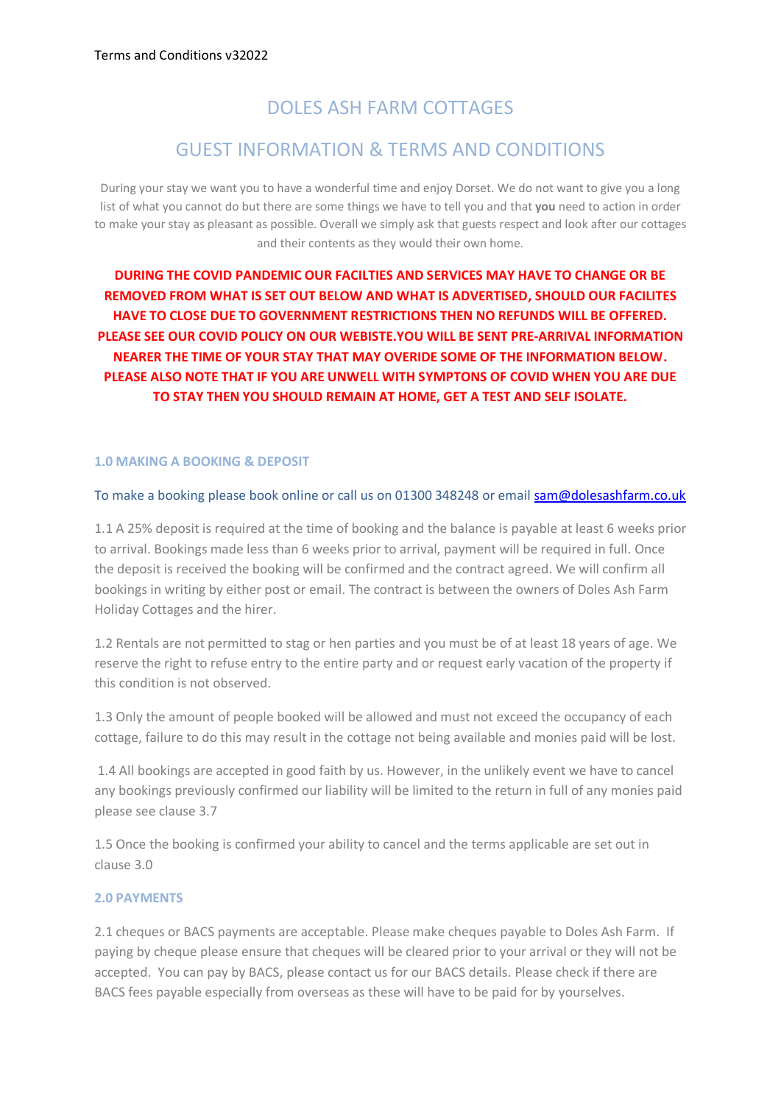# DOLES ASH FARM COTTAGES

## GUEST INFORMATION & TERMS AND CONDITIONS

During your stay we want you to have a wonderful time and enjoy Dorset. We do not want to give you a long list of what you cannot do but there are some things we have to tell you and that **you** need to action in order to make your stay as pleasant as possible. Overall we simply ask that guests respect and look after our cottages and their contents as they would their own home.

**DURING THE COVID PANDEMIC OUR FACILTIES AND SERVICES MAY HAVE TO CHANGE OR BE REMOVED FROM WHAT IS SET OUT BELOW AND WHAT IS ADVERTISED, SHOULD OUR FACILITES HAVE TO CLOSE DUE TO GOVERNMENT RESTRICTIONS THEN NO REFUNDS WILL BE OFFERED. PLEASE SEE OUR COVID POLICY ON OUR WEBISTE.YOU WILL BE SENT PRE-ARRIVAL INFORMATION NEARER THE TIME OF YOUR STAY THAT MAY OVERIDE SOME OF THE INFORMATION BELOW. PLEASE ALSO NOTE THAT IF YOU ARE UNWELL WITH SYMPTONS OF COVID WHEN YOU ARE DUE TO STAY THEN YOU SHOULD REMAIN AT HOME, GET A TEST AND SELF ISOLATE.**

## **1.0 MAKING A BOOKING & DEPOSIT**

## To make a booking please book online or call us on 01300 348248 or email [sam@dolesashfarm.co.uk](mailto:sam@dolesashfarm.co.uk)

1.1 A 25% deposit is required at the time of booking and the balance is payable at least 6 weeks prior to arrival. Bookings made less than 6 weeks prior to arrival, payment will be required in full. Once the deposit is received the booking will be confirmed and the contract agreed. We will confirm all bookings in writing by either post or email. The contract is between the owners of Doles Ash Farm Holiday Cottages and the hirer.

1.2 Rentals are not permitted to stag or hen parties and you must be of at least 18 years of age. We reserve the right to refuse entry to the entire party and or request early vacation of the property if this condition is not observed.

1.3 Only the amount of people booked will be allowed and must not exceed the occupancy of each cottage, failure to do this may result in the cottage not being available and monies paid will be lost.

1.4 All bookings are accepted in good faith by us. However, in the unlikely event we have to cancel any bookings previously confirmed our liability will be limited to the return in full of any monies paid please see clause 3.7

1.5 Once the booking is confirmed your ability to cancel and the terms applicable are set out in clause 3.0

## **2.0 PAYMENTS**

2.1 cheques or BACS payments are acceptable. Please make cheques payable to Doles Ash Farm. If paying by cheque please ensure that cheques will be cleared prior to your arrival or they will not be accepted. You can pay by BACS, please contact us for our BACS details. Please check if there are BACS fees payable especially from overseas as these will have to be paid for by yourselves.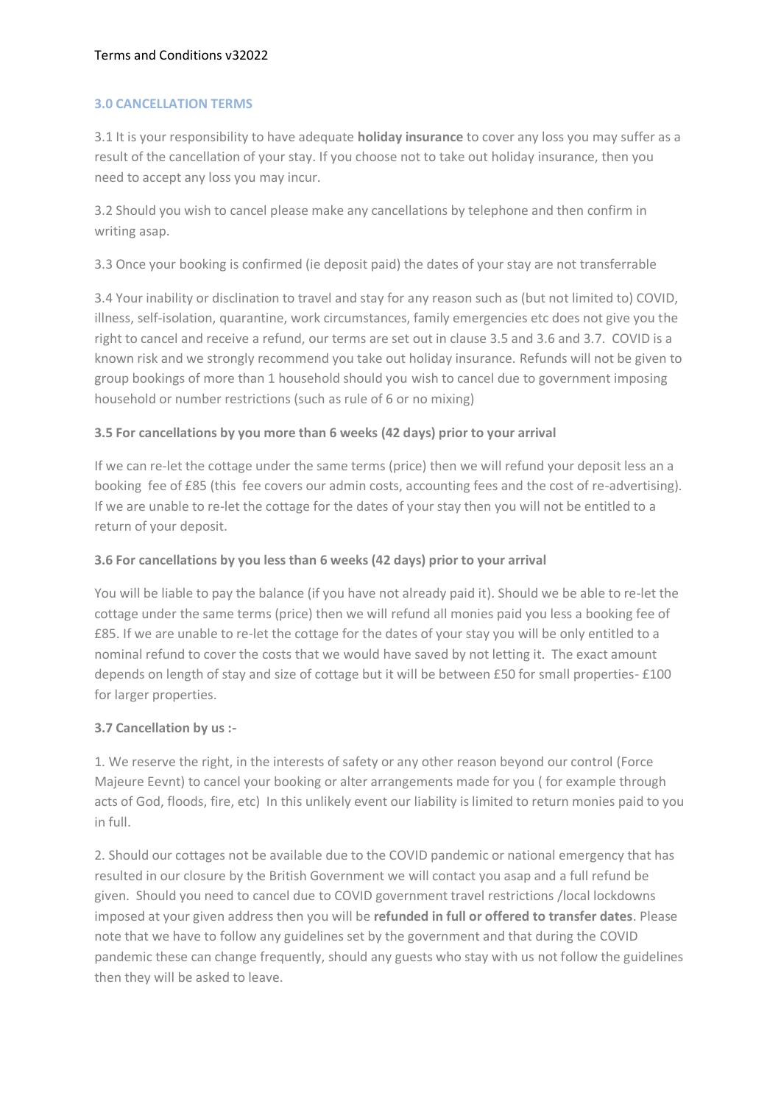## **3.0 CANCELLATION TERMS**

3.1 It is your responsibility to have adequate **holiday insurance** to cover any loss you may suffer as a result of the cancellation of your stay. If you choose not to take out holiday insurance, then you need to accept any loss you may incur.

3.2 Should you wish to cancel please make any cancellations by telephone and then confirm in writing asap.

3.3 Once your booking is confirmed (ie deposit paid) the dates of your stay are not transferrable

3.4 Your inability or disclination to travel and stay for any reason such as (but not limited to) COVID, illness, self-isolation, quarantine, work circumstances, family emergencies etc does not give you the right to cancel and receive a refund, our terms are set out in clause 3.5 and 3.6 and 3.7. COVID is a known risk and we strongly recommend you take out holiday insurance. Refunds will not be given to group bookings of more than 1 household should you wish to cancel due to government imposing household or number restrictions (such as rule of 6 or no mixing)

## **3.5 For cancellations by you more than 6 weeks (42 days) prior to your arrival**

If we can re-let the cottage under the same terms (price) then we will refund your deposit less an a booking fee of £85 (this fee covers our admin costs, accounting fees and the cost of re-advertising). If we are unable to re-let the cottage for the dates of your stay then you will not be entitled to a return of your deposit.

## **3.6 For cancellations by you less than 6 weeks (42 days) prior to your arrival**

You will be liable to pay the balance (if you have not already paid it). Should we be able to re-let the cottage under the same terms (price) then we will refund all monies paid you less a booking fee of £85. If we are unable to re-let the cottage for the dates of your stay you will be only entitled to a nominal refund to cover the costs that we would have saved by not letting it. The exact amount depends on length of stay and size of cottage but it will be between £50 for small properties- £100 for larger properties.

## **3.7 Cancellation by us :-**

1. We reserve the right, in the interests of safety or any other reason beyond our control (Force Majeure Eevnt) to cancel your booking or alter arrangements made for you ( for example through acts of God, floods, fire, etc) In this unlikely event our liability is limited to return monies paid to you in full.

2. Should our cottages not be available due to the COVID pandemic or national emergency that has resulted in our closure by the British Government we will contact you asap and a full refund be given. Should you need to cancel due to COVID government travel restrictions /local lockdowns imposed at your given address then you will be **refunded in full or offered to transfer dates**. Please note that we have to follow any guidelines set by the government and that during the COVID pandemic these can change frequently, should any guests who stay with us not follow the guidelines then they will be asked to leave.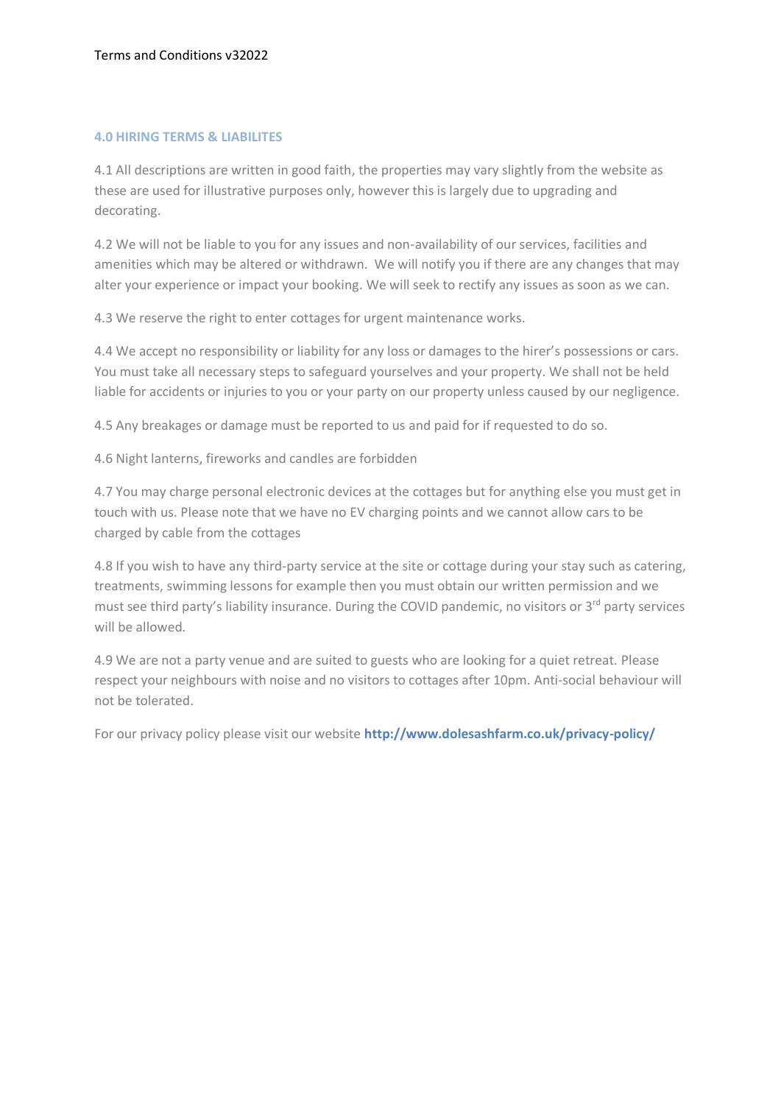## **4.0 HIRING TERMS & LIABILITES**

4.1 All descriptions are written in good faith, the properties may vary slightly from the website as these are used for illustrative purposes only, however this is largely due to upgrading and decorating.

4.2 We will not be liable to you for any issues and non-availability of our services, facilities and amenities which may be altered or withdrawn. We will notify you if there are any changes that may alter your experience or impact your booking. We will seek to rectify any issues as soon as we can.

4.3 We reserve the right to enter cottages for urgent maintenance works.

4.4 We accept no responsibility or liability for any loss or damages to the hirer's possessions or cars. You must take all necessary steps to safeguard yourselves and your property. We shall not be held liable for accidents or injuries to you or your party on our property unless caused by our negligence.

4.5 Any breakages or damage must be reported to us and paid for if requested to do so.

4.6 Night lanterns, fireworks and candles are forbidden

4.7 You may charge personal electronic devices at the cottages but for anything else you must get in touch with us. Please note that we have no EV charging points and we cannot allow cars to be charged by cable from the cottages

4.8 If you wish to have any third-party service at the site or cottage during your stay such as catering, treatments, swimming lessons for example then you must obtain our written permission and we must see third party's liability insurance. During the COVID pandemic, no visitors or 3<sup>rd</sup> party services will be allowed.

4.9 We are not a party venue and are suited to guests who are looking for a quiet retreat. Please respect your neighbours with noise and no visitors to cottages after 10pm. Anti-social behaviour will not be tolerated.

For our privacy policy please visit our website **http://www.dolesashfarm.co.uk/privacy-policy/**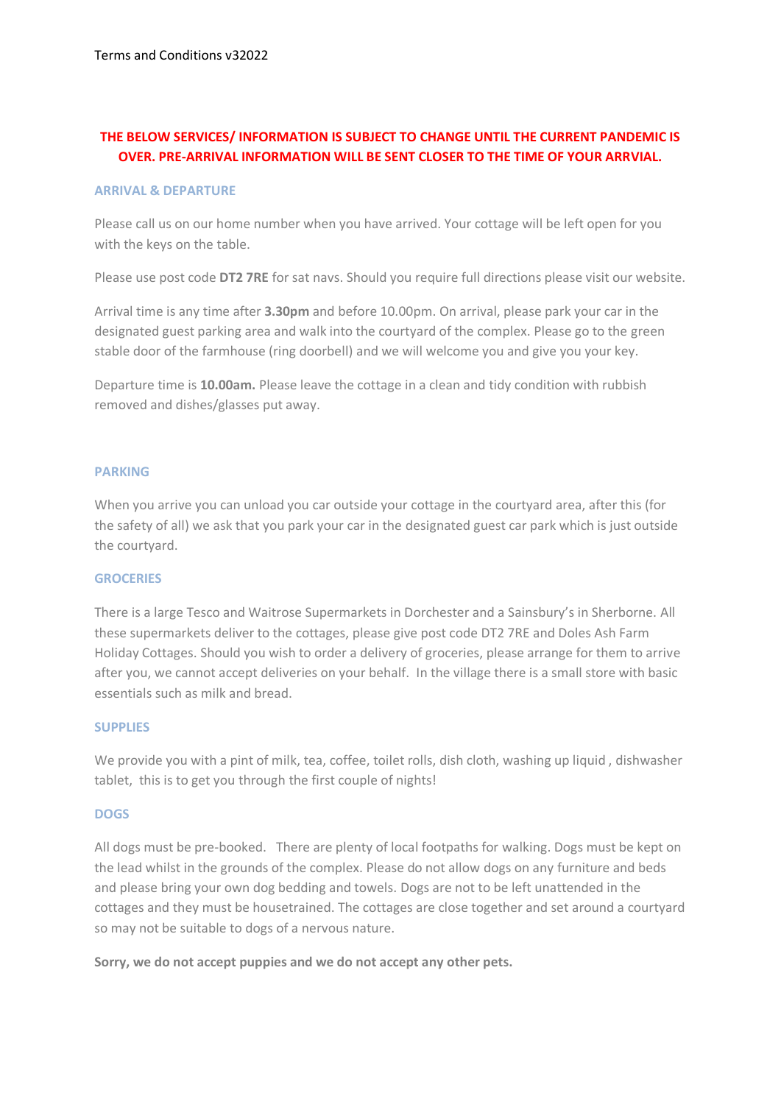## **THE BELOW SERVICES/ INFORMATION IS SUBJECT TO CHANGE UNTIL THE CURRENT PANDEMIC IS OVER. PRE-ARRIVAL INFORMATION WILL BE SENT CLOSER TO THE TIME OF YOUR ARRVIAL.**

#### **ARRIVAL & DEPARTURE**

Please call us on our home number when you have arrived. Your cottage will be left open for you with the keys on the table.

Please use post code **DT2 7RE** for sat navs. Should you require full directions please visit our website.

Arrival time is any time after **3.30pm** and before 10.00pm. On arrival, please park your car in the designated guest parking area and walk into the courtyard of the complex. Please go to the green stable door of the farmhouse (ring doorbell) and we will welcome you and give you your key.

Departure time is **10.00am.** Please leave the cottage in a clean and tidy condition with rubbish removed and dishes/glasses put away.

## **PARKING**

When you arrive you can unload you car outside your cottage in the courtyard area, after this (for the safety of all) we ask that you park your car in the designated guest car park which is just outside the courtyard.

## **GROCERIES**

There is a large Tesco and Waitrose Supermarkets in Dorchester and a Sainsbury's in Sherborne. All these supermarkets deliver to the cottages, please give post code DT2 7RE and Doles Ash Farm Holiday Cottages. Should you wish to order a delivery of groceries, please arrange for them to arrive after you, we cannot accept deliveries on your behalf. In the village there is a small store with basic essentials such as milk and bread.

## **SUPPLIES**

We provide you with a pint of milk, tea, coffee, toilet rolls, dish cloth, washing up liquid , dishwasher tablet, this is to get you through the first couple of nights!

## **DOGS**

All dogs must be pre-booked. There are plenty of local footpaths for walking. Dogs must be kept on the lead whilst in the grounds of the complex. Please do not allow dogs on any furniture and beds and please bring your own dog bedding and towels. Dogs are not to be left unattended in the cottages and they must be housetrained. The cottages are close together and set around a courtyard so may not be suitable to dogs of a nervous nature.

**Sorry, we do not accept puppies and we do not accept any other pets.**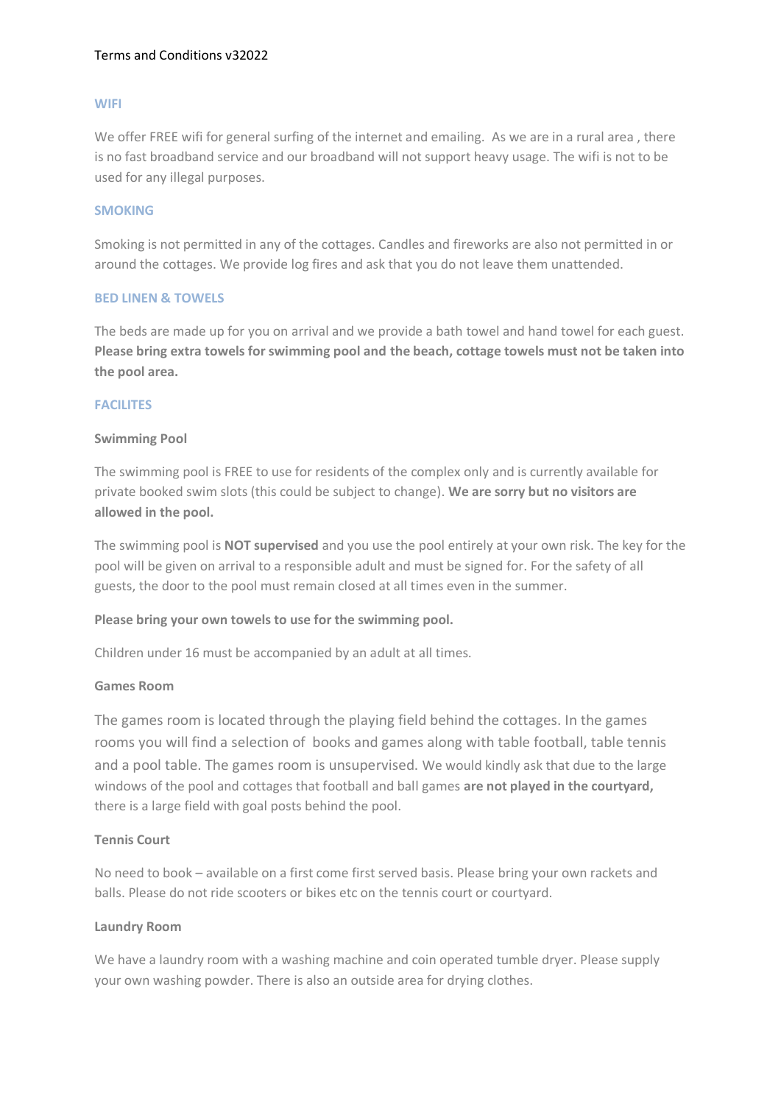## Terms and Conditions v32022

## **WIFI**

We offer FREE wifi for general surfing of the internet and emailing. As we are in a rural area, there is no fast broadband service and our broadband will not support heavy usage. The wifi is not to be used for any illegal purposes.

#### **SMOKING**

Smoking is not permitted in any of the cottages. Candles and fireworks are also not permitted in or around the cottages. We provide log fires and ask that you do not leave them unattended.

## **BED LINEN & TOWELS**

The beds are made up for you on arrival and we provide a bath towel and hand towel for each guest. **Please bring extra towels for swimming pool and the beach, cottage towels must not be taken into the pool area.** 

## **FACILITES**

#### **Swimming Pool**

The swimming pool is FREE to use for residents of the complex only and is currently available for private booked swim slots (this could be subject to change). **We are sorry but no visitors are allowed in the pool.**

The swimming pool is **NOT supervised** and you use the pool entirely at your own risk. The key for the pool will be given on arrival to a responsible adult and must be signed for. For the safety of all guests, the door to the pool must remain closed at all times even in the summer.

## **Please bring your own towels to use for the swimming pool.**

Children under 16 must be accompanied by an adult at all times.

#### **Games Room**

The games room is located through the playing field behind the cottages. In the games rooms you will find a selection of books and games along with table football, table tennis and a pool table. The games room is unsupervised. We would kindly ask that due to the large windows of the pool and cottages that football and ball games **are not played in the courtyard,** there is a large field with goal posts behind the pool.

## **Tennis Court**

No need to book – available on a first come first served basis. Please bring your own rackets and balls. Please do not ride scooters or bikes etc on the tennis court or courtyard.

#### **Laundry Room**

We have a laundry room with a washing machine and coin operated tumble dryer. Please supply your own washing powder. There is also an outside area for drying clothes.